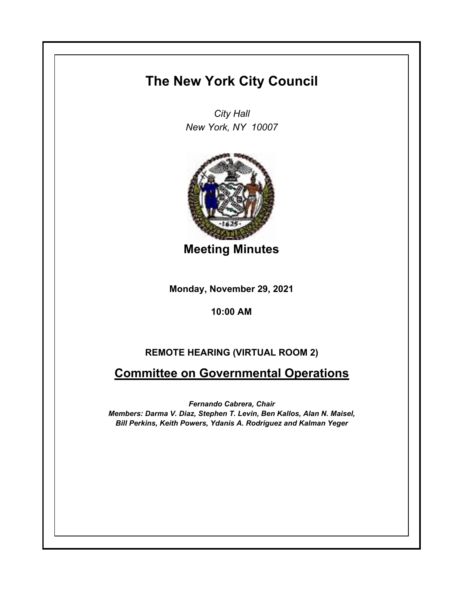# **The New York City Council**

*City Hall New York, NY 10007*



**Meeting Minutes**

**Monday, November 29, 2021**

**10:00 AM**

### **REMOTE HEARING (VIRTUAL ROOM 2)**

## **Committee on Governmental Operations**

*Fernando Cabrera, Chair Members: Darma V. Diaz, Stephen T. Levin, Ben Kallos, Alan N. Maisel, Bill Perkins, Keith Powers, Ydanis A. Rodriguez and Kalman Yeger*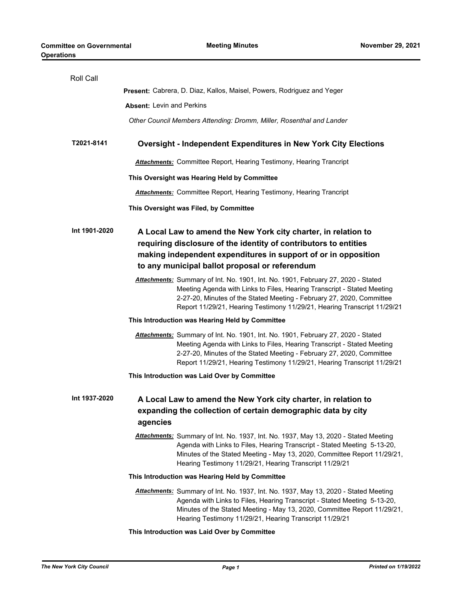| <b>Roll Call</b> |                                                                                                                                                                                                                                                                                                                  |
|------------------|------------------------------------------------------------------------------------------------------------------------------------------------------------------------------------------------------------------------------------------------------------------------------------------------------------------|
|                  | Present: Cabrera, D. Diaz, Kallos, Maisel, Powers, Rodriguez and Yeger                                                                                                                                                                                                                                           |
|                  | <b>Absent: Levin and Perkins</b>                                                                                                                                                                                                                                                                                 |
|                  | Other Council Members Attending: Dromm, Miller, Rosenthal and Lander                                                                                                                                                                                                                                             |
| T2021-8141       | <b>Oversight - Independent Expenditures in New York City Elections</b>                                                                                                                                                                                                                                           |
|                  | <b>Attachments:</b> Committee Report, Hearing Testimony, Hearing Trancript                                                                                                                                                                                                                                       |
|                  | This Oversight was Hearing Held by Committee                                                                                                                                                                                                                                                                     |
|                  | <b>Attachments:</b> Committee Report, Hearing Testimony, Hearing Trancript                                                                                                                                                                                                                                       |
|                  | This Oversight was Filed, by Committee                                                                                                                                                                                                                                                                           |
| Int 1901-2020    | A Local Law to amend the New York city charter, in relation to<br>requiring disclosure of the identity of contributors to entities<br>making independent expenditures in support of or in opposition<br>to any municipal ballot proposal or referendum                                                           |
|                  | Attachments: Summary of Int. No. 1901, Int. No. 1901, February 27, 2020 - Stated<br>Meeting Agenda with Links to Files, Hearing Transcript - Stated Meeting<br>2-27-20, Minutes of the Stated Meeting - February 27, 2020, Committee<br>Report 11/29/21, Hearing Testimony 11/29/21, Hearing Transcript 11/29/21 |
|                  | This Introduction was Hearing Held by Committee                                                                                                                                                                                                                                                                  |
|                  | Attachments: Summary of Int. No. 1901, Int. No. 1901, February 27, 2020 - Stated<br>Meeting Agenda with Links to Files, Hearing Transcript - Stated Meeting<br>2-27-20, Minutes of the Stated Meeting - February 27, 2020, Committee<br>Report 11/29/21, Hearing Testimony 11/29/21, Hearing Transcript 11/29/21 |
|                  | This Introduction was Laid Over by Committee                                                                                                                                                                                                                                                                     |
| Int 1937-2020    | A Local Law to amend the New York city charter, in relation to<br>expanding the collection of certain demographic data by city<br>agencies                                                                                                                                                                       |
|                  | Attachments: Summary of Int. No. 1937, Int. No. 1937, May 13, 2020 - Stated Meeting<br>Agenda with Links to Files, Hearing Transcript - Stated Meeting 5-13-20,<br>Minutes of the Stated Meeting - May 13, 2020, Committee Report 11/29/21,<br>Hearing Testimony 11/29/21, Hearing Transcript 11/29/21           |
|                  | This Introduction was Hearing Held by Committee                                                                                                                                                                                                                                                                  |
|                  | Attachments: Summary of Int. No. 1937, Int. No. 1937, May 13, 2020 - Stated Meeting<br>Agenda with Links to Files, Hearing Transcript - Stated Meeting 5-13-20,<br>Minutes of the Stated Meeting - May 13, 2020, Committee Report 11/29/21,<br>Hearing Testimony 11/29/21, Hearing Transcript 11/29/21           |

#### **This Introduction was Laid Over by Committee**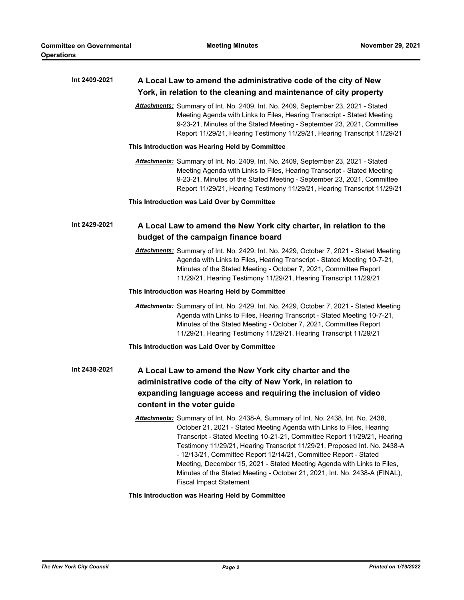| Int 2409-2021 | A Local Law to amend the administrative code of the city of New<br>York, in relation to the cleaning and maintenance of city property                                                                                                                                                                                                                                                                                                                                                                                                                                              |
|---------------|------------------------------------------------------------------------------------------------------------------------------------------------------------------------------------------------------------------------------------------------------------------------------------------------------------------------------------------------------------------------------------------------------------------------------------------------------------------------------------------------------------------------------------------------------------------------------------|
|               | Attachments: Summary of Int. No. 2409, Int. No. 2409, September 23, 2021 - Stated<br>Meeting Agenda with Links to Files, Hearing Transcript - Stated Meeting<br>9-23-21, Minutes of the Stated Meeting - September 23, 2021, Committee<br>Report 11/29/21, Hearing Testimony 11/29/21, Hearing Transcript 11/29/21                                                                                                                                                                                                                                                                 |
|               | This Introduction was Hearing Held by Committee                                                                                                                                                                                                                                                                                                                                                                                                                                                                                                                                    |
|               | Attachments: Summary of Int. No. 2409, Int. No. 2409, September 23, 2021 - Stated<br>Meeting Agenda with Links to Files, Hearing Transcript - Stated Meeting<br>9-23-21, Minutes of the Stated Meeting - September 23, 2021, Committee<br>Report 11/29/21, Hearing Testimony 11/29/21, Hearing Transcript 11/29/21                                                                                                                                                                                                                                                                 |
|               | This Introduction was Laid Over by Committee                                                                                                                                                                                                                                                                                                                                                                                                                                                                                                                                       |
| Int 2429-2021 | A Local Law to amend the New York city charter, in relation to the<br>budget of the campaign finance board                                                                                                                                                                                                                                                                                                                                                                                                                                                                         |
|               | Attachments: Summary of Int. No. 2429, Int. No. 2429, October 7, 2021 - Stated Meeting<br>Agenda with Links to Files, Hearing Transcript - Stated Meeting 10-7-21,<br>Minutes of the Stated Meeting - October 7, 2021, Committee Report<br>11/29/21, Hearing Testimony 11/29/21, Hearing Transcript 11/29/21                                                                                                                                                                                                                                                                       |
|               | This Introduction was Hearing Held by Committee                                                                                                                                                                                                                                                                                                                                                                                                                                                                                                                                    |
|               | Attachments: Summary of Int. No. 2429, Int. No. 2429, October 7, 2021 - Stated Meeting<br>Agenda with Links to Files, Hearing Transcript - Stated Meeting 10-7-21,<br>Minutes of the Stated Meeting - October 7, 2021, Committee Report<br>11/29/21, Hearing Testimony 11/29/21, Hearing Transcript 11/29/21                                                                                                                                                                                                                                                                       |
|               | This Introduction was Laid Over by Committee                                                                                                                                                                                                                                                                                                                                                                                                                                                                                                                                       |
| Int 2438-2021 | A Local Law to amend the New York city charter and the<br>administrative code of the city of New York, in relation to                                                                                                                                                                                                                                                                                                                                                                                                                                                              |
|               | expanding language access and requiring the inclusion of video<br>content in the voter guide                                                                                                                                                                                                                                                                                                                                                                                                                                                                                       |
|               | Attachments: Summary of Int. No. 2438-A, Summary of Int. No. 2438, Int. No. 2438,<br>October 21, 2021 - Stated Meeting Agenda with Links to Files, Hearing<br>Transcript - Stated Meeting 10-21-21, Committee Report 11/29/21, Hearing<br>Testimony 11/29/21, Hearing Transcript 11/29/21, Proposed Int. No. 2438-A<br>- 12/13/21, Committee Report 12/14/21, Committee Report - Stated<br>Meeting, December 15, 2021 - Stated Meeting Agenda with Links to Files,<br>Minutes of the Stated Meeting - October 21, 2021, Int. No. 2438-A (FINAL),<br><b>Fiscal Impact Statement</b> |

### **This Introduction was Hearing Held by Committee**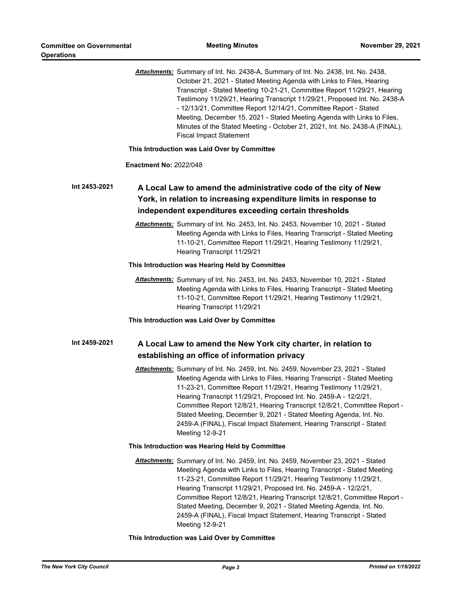|               | Attachments: Summary of Int. No. 2438-A, Summary of Int. No. 2438, Int. No. 2438,<br>October 21, 2021 - Stated Meeting Agenda with Links to Files, Hearing<br>Transcript - Stated Meeting 10-21-21, Committee Report 11/29/21, Hearing<br>Testimony 11/29/21, Hearing Transcript 11/29/21, Proposed Int. No. 2438-A<br>- 12/13/21, Committee Report 12/14/21, Committee Report - Stated<br>Meeting, December 15, 2021 - Stated Meeting Agenda with Links to Files,<br>Minutes of the Stated Meeting - October 21, 2021, Int. No. 2438-A (FINAL),<br><b>Fiscal Impact Statement</b> |
|---------------|------------------------------------------------------------------------------------------------------------------------------------------------------------------------------------------------------------------------------------------------------------------------------------------------------------------------------------------------------------------------------------------------------------------------------------------------------------------------------------------------------------------------------------------------------------------------------------|
|               | This Introduction was Laid Over by Committee                                                                                                                                                                                                                                                                                                                                                                                                                                                                                                                                       |
|               | <b>Enactment No: 2022/048</b>                                                                                                                                                                                                                                                                                                                                                                                                                                                                                                                                                      |
| Int 2453-2021 | A Local Law to amend the administrative code of the city of New<br>York, in relation to increasing expenditure limits in response to<br>independent expenditures exceeding certain thresholds                                                                                                                                                                                                                                                                                                                                                                                      |
|               | Attachments: Summary of Int. No. 2453, Int. No. 2453, November 10, 2021 - Stated<br>Meeting Agenda with Links to Files, Hearing Transcript - Stated Meeting<br>11-10-21, Committee Report 11/29/21, Hearing Testimony 11/29/21,<br>Hearing Transcript 11/29/21                                                                                                                                                                                                                                                                                                                     |
|               | This Introduction was Hearing Held by Committee                                                                                                                                                                                                                                                                                                                                                                                                                                                                                                                                    |
|               | Attachments: Summary of Int. No. 2453, Int. No. 2453, November 10, 2021 - Stated<br>Meeting Agenda with Links to Files, Hearing Transcript - Stated Meeting<br>11-10-21, Committee Report 11/29/21, Hearing Testimony 11/29/21,<br>Hearing Transcript 11/29/21                                                                                                                                                                                                                                                                                                                     |
|               | This Introduction was Laid Over by Committee                                                                                                                                                                                                                                                                                                                                                                                                                                                                                                                                       |
| Int 2459-2021 | A Local Law to amend the New York city charter, in relation to<br>establishing an office of information privacy                                                                                                                                                                                                                                                                                                                                                                                                                                                                    |
|               | Attachments: Summary of Int. No. 2459, Int. No. 2459, November 23, 2021 - Stated<br>Meeting Agenda with Links to Files, Hearing Transcript - Stated Meeting<br>11-23-21, Committee Report 11/29/21, Hearing Testimony 11/29/21,<br>Hearing Transcript 11/29/21, Proposed Int. No. 2459-A - 12/2/21,<br>Committee Report 12/8/21, Hearing Transcript 12/8/21, Committee Report -<br>Stated Meeting, December 9, 2021 - Stated Meeting Agenda, Int. No.<br>2459-A (FINAL), Fiscal Impact Statement, Hearing Transcript - Stated<br>Meeting 12-9-21                                   |
|               | This Introduction was Hearing Held by Committee                                                                                                                                                                                                                                                                                                                                                                                                                                                                                                                                    |
|               | Attachments: Summary of Int. No. 2459, Int. No. 2459, November 23, 2021 - Stated<br>Meeting Agenda with Links to Files, Hearing Transcript - Stated Meeting<br>11-23-21, Committee Report 11/29/21, Hearing Testimony 11/29/21,<br>Hearing Transcript 11/29/21, Proposed Int. No. 2459-A - 12/2/21,<br>Committee Report 12/8/21, Hearing Transcript 12/8/21, Committee Report -<br>Stated Meeting, December 9, 2021 - Stated Meeting Agenda, Int. No.<br>2459-A (FINAL), Fiscal Impact Statement, Hearing Transcript - Stated<br>Meeting 12-9-21                                   |

**This Introduction was Laid Over by Committee**